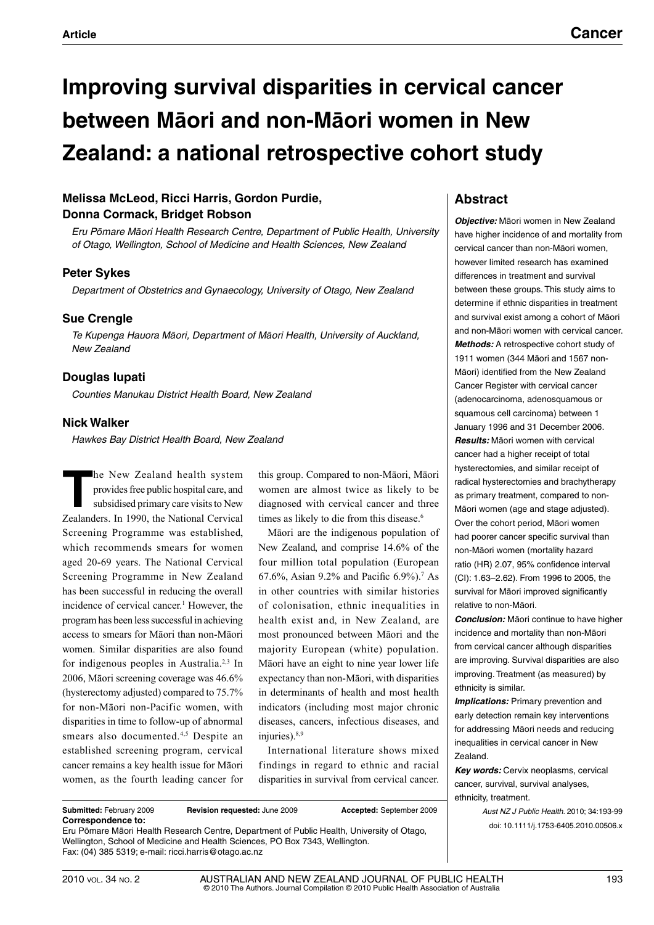# **Improving survival disparities in cervical cancer between Māori and non-Māori women in New Zealand: a national retrospective cohort study**

# **Melissa McLeod, Ricci Harris, Gordon Purdie, Donna Cormack, Bridget Robson**

*Eru Pōmare Māori Health Research Centre, Department of Public Health, University of Otago, Wellington, School of Medicine and Health Sciences, New Zealand*

## **Peter Sykes**

*Department of Obstetrics and Gynaecology, University of Otago, New Zealand*

# **Sue Crengle**

*Te Kupenga Hauora Māori, Department of Māori Health, University of Auckland, New Zealand*

## **Douglas Iupati**

*Counties Manukau District Health Board, New Zealand*

## **Nick Walker**

*Hawkes Bay District Health Board, New Zealand*

**T**he New Zealand health system provides free public hospital care, and subsidised primary care visits to New Zealanders. In 1990, the National Cervical Screening Programme was established, which recommends smears for women aged 20-69 years. The National Cervical Screening Programme in New Zealand has been successful in reducing the overall incidence of cervical cancer.<sup>1</sup> However, the program has been less successful in achieving access to smears for Māori than non-Māori women. Similar disparities are also found for indigenous peoples in Australia.2,3 In 2006, Māori screening coverage was 46.6% (hysterectomy adjusted) compared to 75.7% for non-Māori non-Pacific women, with disparities in time to follow-up of abnormal smears also documented.<sup>4,5</sup> Despite an established screening program, cervical cancer remains a key health issue for Māori women, as the fourth leading cancer for

this group. Compared to non-Māori, Māori women are almost twice as likely to be diagnosed with cervical cancer and three times as likely to die from this disease.<sup>6</sup>

Māori are the indigenous population of New Zealand, and comprise 14.6% of the four million total population (European 67.6%, Asian 9.2% and Pacific 6.9%).7 As in other countries with similar histories of colonisation, ethnic inequalities in health exist and, in New Zealand, are most pronounced between Māori and the majority European (white) population. Māori have an eight to nine year lower life expectancy than non-Māori, with disparities in determinants of health and most health indicators (including most major chronic diseases, cancers, infectious diseases, and injuries).<sup>8,9</sup>

International literature shows mixed findings in regard to ethnic and racial disparities in survival from cervical cancer.

## **Abstract**

*Objective:* Māori women in New Zealand have higher incidence of and mortality from cervical cancer than non-Māori women, however limited research has examined differences in treatment and survival between these groups. This study aims to determine if ethnic disparities in treatment and survival exist among a cohort of Māori and non-Māori women with cervical cancer. *Methods:* A retrospective cohort study of 1911 women (344 Māori and 1567 non-Māori) identified from the New Zealand Cancer Register with cervical cancer (adenocarcinoma, adenosquamous or squamous cell carcinoma) between 1 January 1996 and 31 December 2006. *Results:* Māori women with cervical cancer had a higher receipt of total hysterectomies, and similar receipt of radical hysterectomies and brachytherapy as primary treatment, compared to non-Māori women (age and stage adjusted). Over the cohort period, Māori women had poorer cancer specific survival than non-Māori women (mortality hazard ratio (HR) 2.07, 95% confidence interval (CI): 1.63–2.62). From 1996 to 2005, the survival for Māori improved significantly relative to non-Māori.

*Conclusion:* Māori continue to have higher incidence and mortality than non-Māori from cervical cancer although disparities are improving. Survival disparities are also improving. Treatment (as measured) by ethnicity is similar.

**Implications:** Primary prevention and early detection remain key interventions for addressing Māori needs and reducing inequalities in cervical cancer in New Zealand.

*Key words:* Cervix neoplasms, cervical cancer, survival, survival analyses, ethnicity, treatment.

> *Aust NZ J Public Health*. 2010; 34:193-99 doi: 10.1111/j.1753-6405.2010.00506.x

**Correspondence to:**  Eru Pōmare Māori Health Research Centre, Department of Public Health, University of Otago, Wellington, School of Medicine and Health Sciences, PO Box 7343, Wellington. Fax: (04) 385 5319; e-mail: ricci.harris@otago.ac.nz

**Submitted:** February 2009 **Revision requested:** June 2009 **Accepted:** September 2009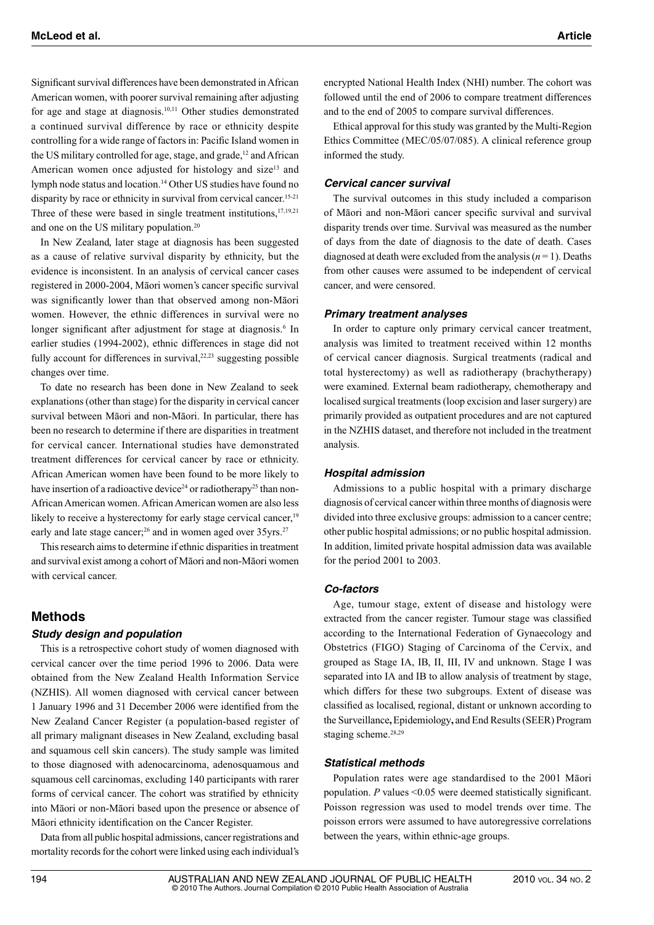Significant survival differences have been demonstrated in African American women, with poorer survival remaining after adjusting for age and stage at diagnosis.10,11 Other studies demonstrated a continued survival difference by race or ethnicity despite controlling for a wide range of factors in: Pacific Island women in the US military controlled for age, stage, and grade,<sup>12</sup> and African American women once adjusted for histology and size<sup>13</sup> and lymph node status and location.14 Other US studies have found no disparity by race or ethnicity in survival from cervical cancer.<sup>15-21</sup> Three of these were based in single treatment institutions,<sup>17,19,21</sup> and one on the US military population.20

In New Zealand, later stage at diagnosis has been suggested as a cause of relative survival disparity by ethnicity, but the evidence is inconsistent. In an analysis of cervical cancer cases registered in 2000-2004, Māori women's cancer specific survival was significantly lower than that observed among non-Māori women. However, the ethnic differences in survival were no longer significant after adjustment for stage at diagnosis.<sup>6</sup> In earlier studies (1994-2002), ethnic differences in stage did not fully account for differences in survival, $22,23$  suggesting possible changes over time.

To date no research has been done in New Zealand to seek explanations (other than stage) for the disparity in cervical cancer survival between Māori and non-Māori. In particular, there has been no research to determine if there are disparities in treatment for cervical cancer. International studies have demonstrated treatment differences for cervical cancer by race or ethnicity. African American women have been found to be more likely to have insertion of a radioactive device<sup>24</sup> or radiotherapy<sup>25</sup> than non-African American women. African American women are also less likely to receive a hysterectomy for early stage cervical cancer,<sup>19</sup> early and late stage cancer;<sup>26</sup> and in women aged over  $35\gamma$ rs.<sup>27</sup>

This research aims to determine if ethnic disparities in treatment and survival exist among a cohort of Māori and non-Māori women with cervical cancer.

## **Methods**

#### *Study design and population*

This is a retrospective cohort study of women diagnosed with cervical cancer over the time period 1996 to 2006. Data were obtained from the New Zealand Health Information Service (NZHIS). All women diagnosed with cervical cancer between 1 January 1996 and 31 December 2006 were identified from the New Zealand Cancer Register (a population-based register of all primary malignant diseases in New Zealand, excluding basal and squamous cell skin cancers). The study sample was limited to those diagnosed with adenocarcinoma, adenosquamous and squamous cell carcinomas, excluding 140 participants with rarer forms of cervical cancer. The cohort was stratified by ethnicity into Māori or non-Māori based upon the presence or absence of Māori ethnicity identification on the Cancer Register.

Data from all public hospital admissions, cancer registrations and mortality records for the cohort were linked using each individual's encrypted National Health Index (NHI) number. The cohort was followed until the end of 2006 to compare treatment differences and to the end of 2005 to compare survival differences.

Ethical approval for this study was granted by the Multi-Region Ethics Committee (MEC/05/07/085). A clinical reference group informed the study.

#### *Cervical cancer survival*

The survival outcomes in this study included a comparison of Māori and non-Māori cancer specific survival and survival disparity trends over time. Survival was measured as the number of days from the date of diagnosis to the date of death. Cases diagnosed at death were excluded from the analysis  $(n = 1)$ . Deaths from other causes were assumed to be independent of cervical cancer, and were censored.

#### *Primary treatment analyses*

In order to capture only primary cervical cancer treatment, analysis was limited to treatment received within 12 months of cervical cancer diagnosis. Surgical treatments (radical and total hysterectomy) as well as radiotherapy (brachytherapy) were examined. External beam radiotherapy, chemotherapy and localised surgical treatments (loop excision and laser surgery) are primarily provided as outpatient procedures and are not captured in the NZHIS dataset, and therefore not included in the treatment analysis.

#### *Hospital admission*

Admissions to a public hospital with a primary discharge diagnosis of cervical cancer within three months of diagnosis were divided into three exclusive groups: admission to a cancer centre; other public hospital admissions; or no public hospital admission. In addition, limited private hospital admission data was available for the period 2001 to 2003.

#### *Co-factors*

Age, tumour stage, extent of disease and histology were extracted from the cancer register. Tumour stage was classified according to the International Federation of Gynaecology and Obstetrics (FIGO) Staging of Carcinoma of the Cervix, and grouped as Stage IA, IB, II, III, IV and unknown. Stage I was separated into IA and IB to allow analysis of treatment by stage, which differs for these two subgroups. Extent of disease was classified as localised, regional, distant or unknown according to the Surveillance**,** Epidemiology**,** and End Results (SEER) Program staging scheme.<sup>28,29</sup>

#### *Statistical methods*

Population rates were age standardised to the 2001 Māori population. *P* values <0.05 were deemed statistically significant. Poisson regression was used to model trends over time. The poisson errors were assumed to have autoregressive correlations between the years, within ethnic-age groups.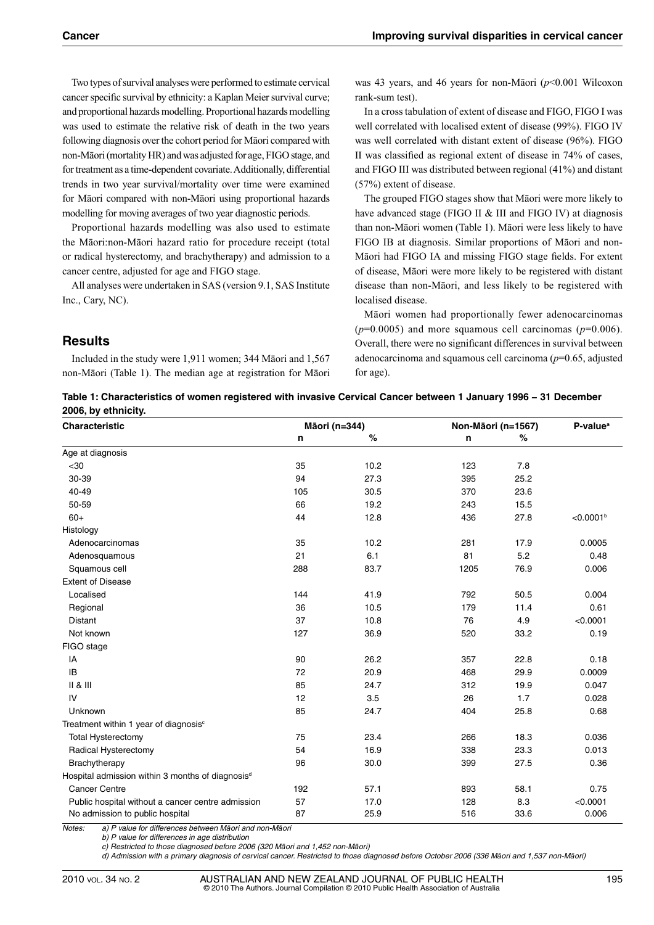Two types of survival analyses were performed to estimate cervical cancer specific survival by ethnicity: a Kaplan Meier survival curve; and proportional hazards modelling. Proportional hazards modelling was used to estimate the relative risk of death in the two years following diagnosis over the cohort period for Māori compared with non-Māori (mortality HR) and was adjusted for age, FIGO stage, and for treatment as a time-dependent covariate. Additionally, differential trends in two year survival/mortality over time were examined for Māori compared with non-Māori using proportional hazards modelling for moving averages of two year diagnostic periods.

Proportional hazards modelling was also used to estimate the Māori:non-Māori hazard ratio for procedure receipt (total or radical hysterectomy, and brachytherapy) and admission to a cancer centre, adjusted for age and FIGO stage.

All analyses were undertaken in SAS (version 9.1, SAS Institute Inc., Cary, NC).

was 43 years, and 46 years for non-Māori (*p*<0.001 Wilcoxon rank-sum test).

In a cross tabulation of extent of disease and FIGO, FIGO I was well correlated with localised extent of disease (99%). FIGO IV was well correlated with distant extent of disease (96%). FIGO II was classified as regional extent of disease in 74% of cases, and FIGO III was distributed between regional (41%) and distant (57%) extent of disease.

The grouped FIGO stages show that Māori were more likely to have advanced stage (FIGO II & III and FIGO IV) at diagnosis than non-Māori women (Table 1). Māori were less likely to have FIGO IB at diagnosis. Similar proportions of Māori and non-Māori had FIGO IA and missing FIGO stage fields. For extent of disease, Māori were more likely to be registered with distant disease than non-Māori, and less likely to be registered with localised disease.

Māori women had proportionally fewer adenocarcinomas  $(p=0.0005)$  and more squamous cell carcinomas  $(p=0.006)$ . Overall, there were no significant differences in survival between adenocarcinoma and squamous cell carcinoma (*p*=0.65, adjusted for age).

# **Results**

Included in the study were 1,911 women; 344 Māori and 1,567 non-Māori (Table 1). The median age at registration for Māori

| Table 1: Characteristics of women registered with invasive Cervical Cancer between 1 January 1996 - 31 December |
|-----------------------------------------------------------------------------------------------------------------|
| 2006, by ethnicity.                                                                                             |

| Characteristic                                               | Māori (n=344) |      | Non-Māori (n=1567) | P-value <sup>a</sup> |                       |
|--------------------------------------------------------------|---------------|------|--------------------|----------------------|-----------------------|
|                                                              | n             | $\%$ | n                  | $\%$                 |                       |
| Age at diagnosis                                             |               |      |                    |                      |                       |
| $30$                                                         | 35            | 10.2 | 123                | 7.8                  |                       |
| 30-39                                                        | 94            | 27.3 | 395                | 25.2                 |                       |
| 40-49                                                        | 105           | 30.5 | 370                | 23.6                 |                       |
| 50-59                                                        | 66            | 19.2 | 243                | 15.5                 |                       |
| $60+$                                                        | 44            | 12.8 | 436                | 27.8                 | < 0.0001 <sup>b</sup> |
| Histology                                                    |               |      |                    |                      |                       |
| Adenocarcinomas                                              | 35            | 10.2 | 281                | 17.9                 | 0.0005                |
| Adenosquamous                                                | 21            | 6.1  | 81                 | 5.2                  | 0.48                  |
| Squamous cell                                                | 288           | 83.7 | 1205               | 76.9                 | 0.006                 |
| <b>Extent of Disease</b>                                     |               |      |                    |                      |                       |
| Localised                                                    | 144           | 41.9 | 792                | 50.5                 | 0.004                 |
| Regional                                                     | 36            | 10.5 | 179                | 11.4                 | 0.61                  |
| Distant                                                      | 37            | 10.8 | 76                 | 4.9                  | < 0.0001              |
| Not known                                                    | 127           | 36.9 | 520                | 33.2                 | 0.19                  |
| FIGO stage                                                   |               |      |                    |                      |                       |
| IA                                                           | 90            | 26.2 | 357                | 22.8                 | 0.18                  |
| IB                                                           | 72            | 20.9 | 468                | 29.9                 | 0.0009                |
| II & II                                                      | 85            | 24.7 | 312                | 19.9                 | 0.047                 |
| IV                                                           | 12            | 3.5  | 26                 | 1.7                  | 0.028                 |
| Unknown                                                      | 85            | 24.7 | 404                | 25.8                 | 0.68                  |
| Treatment within 1 year of diagnosis <sup>c</sup>            |               |      |                    |                      |                       |
| <b>Total Hysterectomy</b>                                    | 75            | 23.4 | 266                | 18.3                 | 0.036                 |
| Radical Hysterectomy                                         | 54            | 16.9 | 338                | 23.3                 | 0.013                 |
| Brachytherapy                                                | 96            | 30.0 | 399                | 27.5                 | 0.36                  |
| Hospital admission within 3 months of diagnosis <sup>d</sup> |               |      |                    |                      |                       |
| <b>Cancer Centre</b>                                         | 192           | 57.1 | 893                | 58.1                 | 0.75                  |
| Public hospital without a cancer centre admission            | 57            | 17.0 | 128                | 8.3                  | < 0.0001              |
| No admission to public hospital                              | 87            | 25.9 | 516                | 33.6                 | 0.006                 |

*Notes: a) P value for differences between Māori and non-Māori*

 *b) P value for differences in age distribution*

 *c) Restricted to those diagnosed before 2006 (320 Māori and 1,452 non-Māori)*

 *d) Admission with a primary diagnosis of cervical cancer. Restricted to those diagnosed before October 2006 (336 Māori and 1,537 non-Māori)*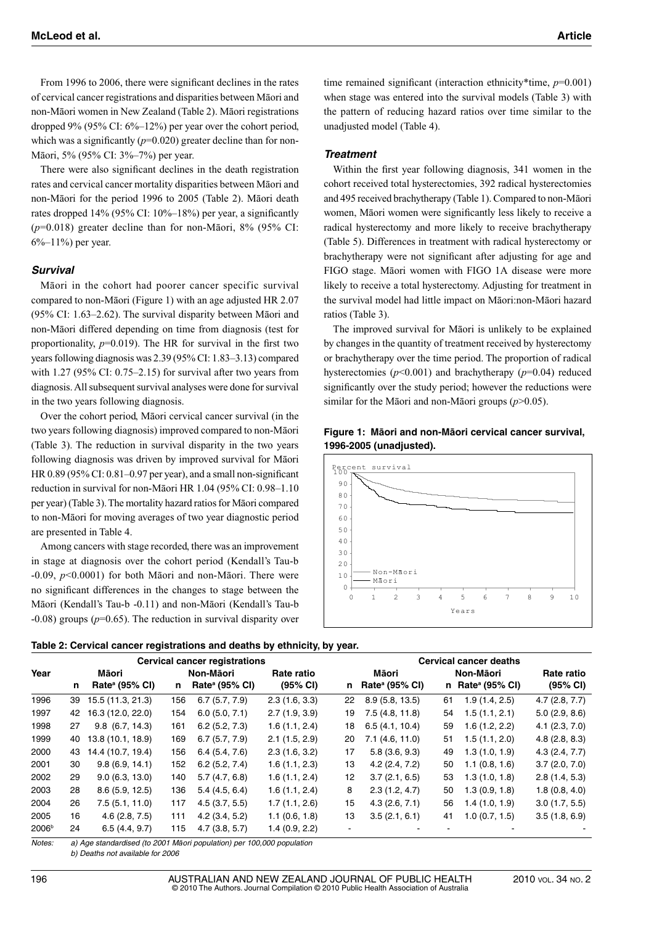From 1996 to 2006, there were significant declines in the rates of cervical cancer registrations and disparities between Māori and non-Māori women in New Zealand (Table 2). Māori registrations dropped 9% (95% CI: 6%–12%) per year over the cohort period, which was a significantly  $(p=0.020)$  greater decline than for non-Māori, 5% (95% CI: 3%–7%) per year.

There were also significant declines in the death registration rates and cervical cancer mortality disparities between Māori and non-Māori for the period 1996 to 2005 (Table 2). Māori death rates dropped 14% (95% CI: 10%–18%) per year, a significantly (*p*=0.018) greater decline than for non-Māori, 8% (95% CI: 6%–11%) per year.

#### *Survival*

Māori in the cohort had poorer cancer specific survival compared to non-Māori (Figure 1) with an age adjusted HR 2.07 (95% CI: 1.63–2.62). The survival disparity between Māori and non-Māori differed depending on time from diagnosis (test for proportionality,  $p=0.019$ ). The HR for survival in the first two years following diagnosis was 2.39 (95% CI: 1.83–3.13) compared with 1.27 (95% CI: 0.75–2.15) for survival after two years from diagnosis. All subsequent survival analyses were done for survival in the two years following diagnosis.

Over the cohort period, Māori cervical cancer survival (in the two years following diagnosis) improved compared to non-Māori (Table 3). The reduction in survival disparity in the two years following diagnosis was driven by improved survival for Māori HR 0.89 (95% CI: 0.81–0.97 per year), and a small non-significant reduction in survival for non-Māori HR 1.04 (95% CI: 0.98–1.10 per year) (Table 3). The mortality hazard ratios for Māori compared to non-Māori for moving averages of two year diagnostic period are presented in Table 4.

Among cancers with stage recorded, there was an improvement in stage at diagnosis over the cohort period (Kendall's Tau-b -0.09, *p*<0.0001) for both Māori and non-Māori. There were no significant differences in the changes to stage between the Māori (Kendall's Tau-b -0.11) and non-Māori (Kendall's Tau-b -0.08) groups (*p*=0.65). The reduction in survival disparity over time remained significant (interaction ethnicity\*time, *p*=0.001) when stage was entered into the survival models (Table 3) with the pattern of reducing hazard ratios over time similar to the unadjusted model (Table 4).

#### *Treatment*

Within the first year following diagnosis, 341 women in the cohort received total hysterectomies, 392 radical hysterectomies and 495 received brachytherapy (Table 1). Compared to non-Māori women, Māori women were significantly less likely to receive a radical hysterectomy and more likely to receive brachytherapy (Table 5). Differences in treatment with radical hysterectomy or brachytherapy were not significant after adjusting for age and FIGO stage. Māori women with FIGO 1A disease were more likely to receive a total hysterectomy. Adjusting for treatment in the survival model had little impact on Māori:non-Māori hazard ratios (Table 3).

The improved survival for Māori is unlikely to be explained by changes in the quantity of treatment received by hysterectomy or brachytherapy over the time period. The proportion of radical hysterectomies (*p*<0.001) and brachytherapy (*p*=0.04) reduced significantly over the study period; however the reductions were similar for the Māori and non-Māori groups (*p*>0.05).





| Table 2: Cervical cancer registrations and deaths by ethnicity, by year. |  |
|--------------------------------------------------------------------------|--|
|--------------------------------------------------------------------------|--|

| <b>Cervical cancer registrations</b> |    |                            |     |                            |               | <b>Cervical cancer deaths</b> |                            |    |                              |               |  |
|--------------------------------------|----|----------------------------|-----|----------------------------|---------------|-------------------------------|----------------------------|----|------------------------------|---------------|--|
| Year                                 |    | Māori                      |     | Non-Māori                  | Rate ratio    |                               | Māori                      |    | Non-Māori                    | Rate ratio    |  |
|                                      | n  | Rate <sup>a</sup> (95% CI) | n   | Rate <sup>a</sup> (95% CI) | (95% CI)      | n.                            | Rate <sup>a</sup> (95% CI) |    | n Rate <sup>a</sup> (95% CI) | (95% CI)      |  |
| 1996                                 | 39 | 15.5 (11.3, 21.3)          | 156 | 6.7(5.7, 7.9)              | 2.3(1.6, 3.3) | 22                            | 8.9(5.8, 13.5)             | 61 | 1.9(1.4, 2.5)                | 4.7(2.8, 7.7) |  |
| 1997                                 | 42 | 16.3 (12.0, 22.0)          | 154 | 6.0(5.0, 7.1)              | 2.7(1.9, 3.9) | 19                            | 7.5(4.8, 11.8)             | 54 | 1.5(1.1, 2.1)                | 5.0(2.9, 8.6) |  |
| 1998                                 | 27 | $9.8$ (6.7, 14.3)          | 161 | 6.2(5.2, 7.3)              | 1.6(1.1, 2.4) | 18                            | 6.5(4.1, 10.4)             | 59 | 1.6(1.2, 2.2)                | 4.1(2.3, 7.0) |  |
| 1999                                 | 40 | 13.8 (10.1, 18.9)          | 169 | 6.7(5.7, 7.9)              | 2.1(1.5, 2.9) | 20                            | 7.1(4.6, 11.0)             | 51 | 1.5(1.1, 2.0)                | 4.8(2.8, 8.3) |  |
| 2000                                 | 43 | 14.4 (10.7, 19.4)          | 156 | 6.4(5.4, 7.6)              | 2.3(1.6, 3.2) | 17                            | 5.8(3.6, 9.3)              | 49 | 1.3(1.0, 1.9)                | 4.3(2.4, 7.7) |  |
| 2001                                 | 30 | 9.8(6.9, 14.1)             | 152 | 6.2(5.2, 7.4)              | 1.6(1.1, 2.3) | 13                            | 4.2(2.4, 7.2)              | 50 | 1.1(0.8, 1.6)                | 3.7(2.0, 7.0) |  |
| 2002                                 | 29 | 9.0(6.3, 13.0)             | 140 | 5.7(4.7, 6.8)              | 1.6(1.1, 2.4) | 12                            | 3.7(2.1, 6.5)              | 53 | 1.3(1.0, 1.8)                | 2.8(1.4, 5.3) |  |
| 2003                                 | 28 | 8.6(5.9, 12.5)             | 136 | 5.4(4.5, 6.4)              | 1.6(1.1, 2.4) | 8                             | 2.3(1.2, 4.7)              | 50 | 1.3(0.9, 1.8)                | 1.8(0.8, 4.0) |  |
| 2004                                 | 26 | 7.5(5.1, 11.0)             | 117 | 4.5(3.7, 5.5)              | 1.7(1.1, 2.6) | 15                            | 4.3(2.6, 7.1)              | 56 | 1.4(1.0, 1.9)                | 3.0(1.7, 5.5) |  |
| 2005                                 | 16 | 4.6(2.8, 7.5)              | 111 | 4.2(3.4, 5.2)              | 1.1(0.6, 1.8) | 13                            | 3.5(2.1, 6.1)              | 41 | 1.0(0.7, 1.5)                | 3.5(1.8, 6.9) |  |
| 2006 <sup>b</sup>                    | 24 | 6.5(4.4, 9.7)              | 115 | 4.7(3.8, 5.7)              | 1.4(0.9, 2.2) |                               |                            |    |                              |               |  |

*Notes: a) Age standardised (to 2001 Māori population) per 100,000 population*

 *b) Deaths not available for 2006*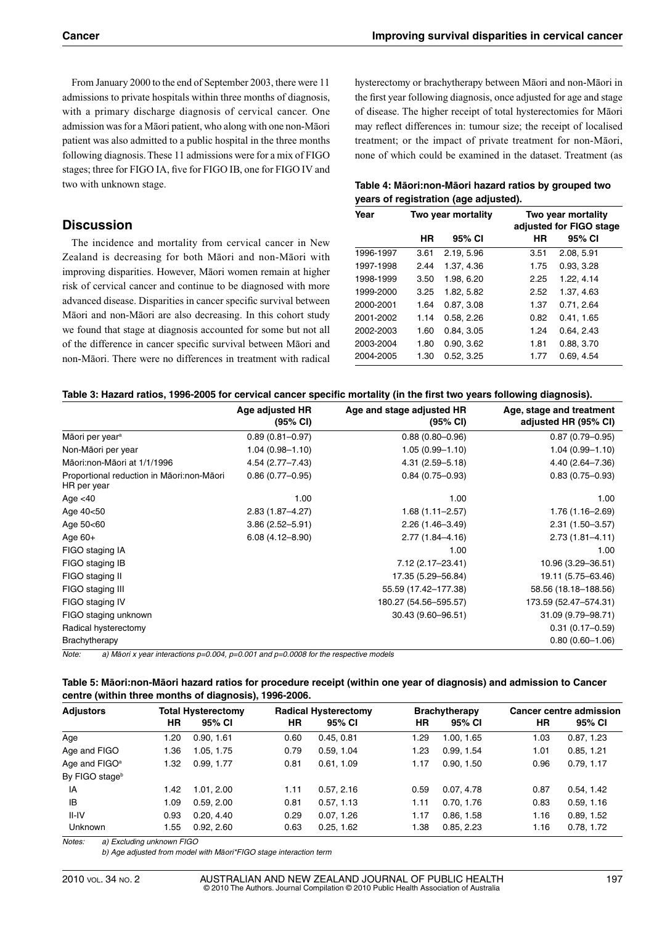From January 2000 to the end of September 2003, there were 11 admissions to private hospitals within three months of diagnosis, with a primary discharge diagnosis of cervical cancer. One admission was for a Māori patient, who along with one non-Māori patient was also admitted to a public hospital in the three months following diagnosis. These 11 admissions were for a mix of FIGO stages; three for FIGO IA, five for FIGO IB, one for FIGO IV and two with unknown stage.

# **Discussion**

The incidence and mortality from cervical cancer in New Zealand is decreasing for both Māori and non-Māori with improving disparities. However, Māori women remain at higher risk of cervical cancer and continue to be diagnosed with more advanced disease. Disparities in cancer specific survival between Māori and non-Māori are also decreasing. In this cohort study we found that stage at diagnosis accounted for some but not all of the difference in cancer specific survival between Māori and non-Māori. There were no differences in treatment with radical hysterectomy or brachytherapy between Māori and non-Māori in the first year following diagnosis, once adjusted for age and stage of disease. The higher receipt of total hysterectomies for Māori may reflect differences in: tumour size; the receipt of localised treatment; or the impact of private treatment for non-Māori, none of which could be examined in the dataset. Treatment (as

## **Table 4: Māori:non-Māori hazard ratios by grouped two years of registration (age adjusted).**

| Year      |      | Two year mortality |      | Two year mortality<br>adjusted for FIGO stage |
|-----------|------|--------------------|------|-----------------------------------------------|
|           | HR   | 95% CI             | HR   | 95% CI                                        |
| 1996-1997 | 3.61 | 2.19, 5.96         | 3.51 | 2.08. 5.91                                    |
| 1997-1998 | 2.44 | 1.37, 4.36         | 1.75 | 0.93, 3.28                                    |
| 1998-1999 | 3.50 | 1.98, 6.20         | 2.25 | 1.22, 4.14                                    |
| 1999-2000 | 3.25 | 1.82, 5.82         | 2.52 | 1.37, 4.63                                    |
| 2000-2001 | 1.64 | 0.87, 3.08         | 1.37 | 0.71, 2.64                                    |
| 2001-2002 | 1.14 | 0.58, 2.26         | 0.82 | 0.41, 1.65                                    |
| 2002-2003 | 1.60 | 0.84, 3.05         | 1.24 | 0.64, 2.43                                    |
| 2003-2004 | 1.80 | 0.90, 3.62         | 1.81 | 0.88, 3.70                                    |
| 2004-2005 | 1.30 | 0.52.3.25          | 1.77 | 0.69.4.54                                     |

#### **Table 3: Hazard ratios, 1996-2005 for cervical cancer specific mortality (in the first two years following diagnosis).**

|                                                          | Age adjusted HR     | Age and stage adjusted HR | Age, stage and treatment |
|----------------------------------------------------------|---------------------|---------------------------|--------------------------|
|                                                          | $(95% \text{ Cl})$  | $(95% \text{ Cl})$        | adjusted HR (95% CI)     |
| Māori per year <sup>a</sup>                              | $0.89(0.81 - 0.97)$ | $0.88(0.80 - 0.96)$       | $0.87(0.79 - 0.95)$      |
| Non-Māori per year                                       | $1.04(0.98 - 1.10)$ | $1.05(0.99 - 1.10)$       | $1.04(0.99 - 1.10)$      |
| Māori:non-Māori at 1/1/1996                              | 4.54 (2.77-7.43)    | $4.31(2.59 - 5.18)$       | 4.40 (2.64-7.36)         |
| Proportional reduction in Māori:non-Māori<br>HR per year | $0.86(0.77-0.95)$   | $0.84(0.75 - 0.93)$       | $0.83(0.75 - 0.93)$      |
| Age $<$ 40                                               | 1.00                | 1.00                      | 1.00                     |
| Age 40<50                                                | 2.83 (1.87-4.27)    | $1.68(1.11 - 2.57)$       | $1.76(1.16 - 2.69)$      |
| Age 50<60                                                | $3.86(2.52 - 5.91)$ | $2.26(1.46 - 3.49)$       | $2.31(1.50 - 3.57)$      |
| Age $60+$                                                | $6.08(4.12 - 8.90)$ | $2.77(1.84 - 4.16)$       | $2.73(1.81 - 4.11)$      |
| FIGO staging IA                                          |                     | 1.00                      | 1.00                     |
| FIGO staging IB                                          |                     | 7.12 (2.17-23.41)         | 10.96 (3.29 - 36.51)     |
| FIGO staging II                                          |                     | 17.35 (5.29-56.84)        | 19.11 (5.75 - 63.46)     |
| FIGO staging III                                         |                     | 55.59 (17.42-177.38)      | 58.56 (18.18-188.56)     |
| FIGO staging IV                                          |                     | 180.27 (54.56-595.57)     | 173.59 (52.47-574.31)    |
| FIGO staging unknown                                     |                     | 30.43 (9.60-96.51)        | 31.09 (9.79-98.71)       |
| Radical hysterectomy                                     |                     |                           | $0.31(0.17-0.59)$        |
| Brachytherapy                                            |                     |                           | $0.80(0.60 - 1.06)$      |

*Note: a) Māori x year interactions p=0.004, p=0.001 and p=0.0008 for the respective models*

#### **Table 5: Māori:non-Māori hazard ratios for procedure receipt (within one year of diagnosis) and admission to Cancer centre (within three months of diagnosis), 1996-2006.**

| <b>Adjustors</b>          | <b>Total Hysterectomy</b> |            | <b>Radical Hysterectomy</b> |            | <b>Brachytherapy</b> |            | <b>Cancer centre admission</b> |            |
|---------------------------|---------------------------|------------|-----------------------------|------------|----------------------|------------|--------------------------------|------------|
|                           | ΗR                        | 95% CI     | HR                          | 95% CI     | HR                   | 95% CI     | ΗR                             | 95% CI     |
| Age                       | 1.20                      | 0.90, 1.61 | 0.60                        | 0.45, 0.81 | 1.29                 | 1.00, 1.65 | 1.03                           | 0.87, 1.23 |
| Age and FIGO              | 1.36                      | 1.05, 1.75 | 0.79                        | 0.59, 1.04 | 1.23                 | 0.99, 1.54 | 1.01                           | 0.85, 1.21 |
| Age and FIGO <sup>a</sup> | 1.32                      | 0.99, 1.77 | 0.81                        | 0.61, 1.09 | 1.17                 | 0.90.1.50  | 0.96                           | 0.79, 1.17 |
| By FIGO stageb            |                           |            |                             |            |                      |            |                                |            |
| IA                        | 1.42                      | 1.01, 2.00 | 1.11                        | 0.57, 2.16 | 0.59                 | 0.07, 4.78 | 0.87                           | 0.54, 1.42 |
| IB                        | 1.09                      | 0.59, 2.00 | 0.81                        | 0.57, 1.13 | 1.11                 | 0.70, 1.76 | 0.83                           | 0.59, 1.16 |
| II-IV                     | 0.93                      | 0.20.4.40  | 0.29                        | 0.07, 1.26 | 1.17                 | 0.86.1.58  | 1.16                           | 0.89, 1.52 |
| <b>Unknown</b>            | 1.55                      | 0.92, 2.60 | 0.63                        | 0.25, 1.62 | 1.38                 | 0.85, 2.23 | 1.16                           | 0.78, 1.72 |

*Notes: a) Excluding unknown FIGO*

 *b) Age adjusted from model with Māori\*FIGO stage interaction term*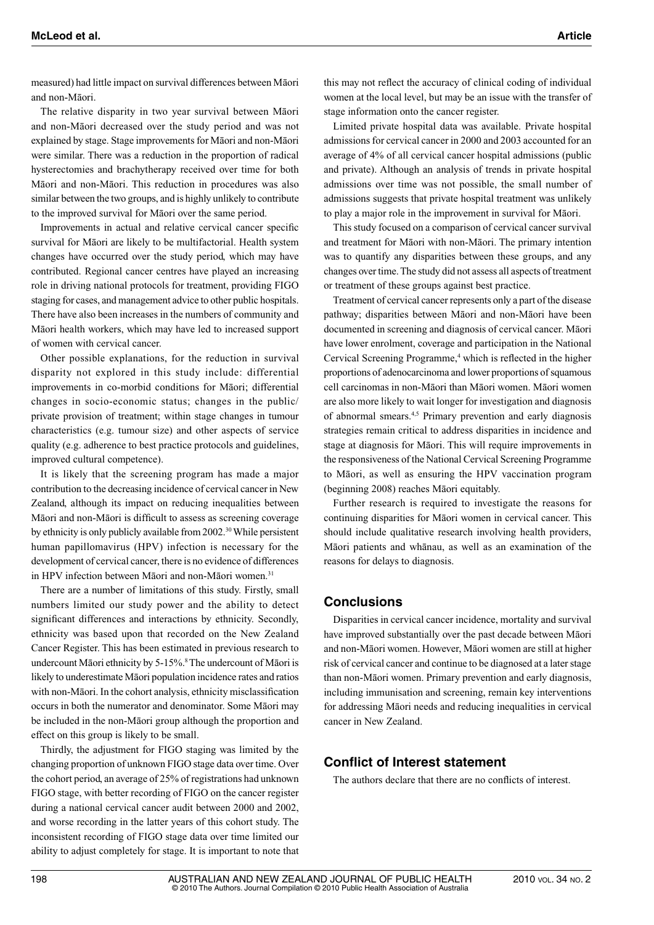measured) had little impact on survival differences between Māori and non-Māori.

The relative disparity in two year survival between Māori and non-Māori decreased over the study period and was not explained by stage. Stage improvements for Māori and non-Māori were similar. There was a reduction in the proportion of radical hysterectomies and brachytherapy received over time for both Māori and non-Māori. This reduction in procedures was also similar between the two groups, and is highly unlikely to contribute to the improved survival for Māori over the same period.

Improvements in actual and relative cervical cancer specific survival for Māori are likely to be multifactorial. Health system changes have occurred over the study period, which may have contributed. Regional cancer centres have played an increasing role in driving national protocols for treatment, providing FIGO staging for cases, and management advice to other public hospitals. There have also been increases in the numbers of community and Māori health workers, which may have led to increased support of women with cervical cancer.

Other possible explanations, for the reduction in survival disparity not explored in this study include: differential improvements in co-morbid conditions for Māori; differential changes in socio-economic status; changes in the public/ private provision of treatment; within stage changes in tumour characteristics (e.g. tumour size) and other aspects of service quality (e.g. adherence to best practice protocols and guidelines, improved cultural competence).

It is likely that the screening program has made a major contribution to the decreasing incidence of cervical cancer in New Zealand, although its impact on reducing inequalities between Māori and non-Māori is difficult to assess as screening coverage by ethnicity is only publicly available from 2002.<sup>30</sup> While persistent human papillomavirus (HPV) infection is necessary for the development of cervical cancer, there is no evidence of differences in HPV infection between Māori and non-Māori women.<sup>31</sup>

There are a number of limitations of this study. Firstly, small numbers limited our study power and the ability to detect significant differences and interactions by ethnicity. Secondly, ethnicity was based upon that recorded on the New Zealand Cancer Register. This has been estimated in previous research to undercount Māori ethnicity by 5-15%.<sup>8</sup> The undercount of Māori is likely to underestimate Māori population incidence rates and ratios with non-Māori. In the cohort analysis, ethnicity misclassification occurs in both the numerator and denominator. Some Māori may be included in the non-Māori group although the proportion and effect on this group is likely to be small.

Thirdly, the adjustment for FIGO staging was limited by the changing proportion of unknown FIGO stage data over time. Over the cohort period, an average of 25% of registrations had unknown FIGO stage, with better recording of FIGO on the cancer register during a national cervical cancer audit between 2000 and 2002, and worse recording in the latter years of this cohort study. The inconsistent recording of FIGO stage data over time limited our ability to adjust completely for stage. It is important to note that this may not reflect the accuracy of clinical coding of individual women at the local level, but may be an issue with the transfer of stage information onto the cancer register.

Limited private hospital data was available. Private hospital admissions for cervical cancer in 2000 and 2003 accounted for an average of 4% of all cervical cancer hospital admissions (public and private). Although an analysis of trends in private hospital admissions over time was not possible, the small number of admissions suggests that private hospital treatment was unlikely to play a major role in the improvement in survival for Māori.

This study focused on a comparison of cervical cancer survival and treatment for Māori with non-Māori. The primary intention was to quantify any disparities between these groups, and any changes over time. The study did not assess all aspects of treatment or treatment of these groups against best practice.

Treatment of cervical cancer represents only a part of the disease pathway; disparities between Māori and non-Māori have been documented in screening and diagnosis of cervical cancer. Māori have lower enrolment, coverage and participation in the National Cervical Screening Programme,<sup>4</sup> which is reflected in the higher proportions of adenocarcinoma and lower proportions of squamous cell carcinomas in non-Māori than Māori women. Māori women are also more likely to wait longer for investigation and diagnosis of abnormal smears.4,5 Primary prevention and early diagnosis strategies remain critical to address disparities in incidence and stage at diagnosis for Māori. This will require improvements in the responsiveness of the National Cervical Screening Programme to Māori, as well as ensuring the HPV vaccination program (beginning 2008) reaches Māori equitably.

Further research is required to investigate the reasons for continuing disparities for Māori women in cervical cancer. This should include qualitative research involving health providers, Māori patients and whānau, as well as an examination of the reasons for delays to diagnosis.

## **Conclusions**

Disparities in cervical cancer incidence, mortality and survival have improved substantially over the past decade between Māori and non-Māori women. However, Māori women are still at higher risk of cervical cancer and continue to be diagnosed at a later stage than non-Māori women. Primary prevention and early diagnosis, including immunisation and screening, remain key interventions for addressing Māori needs and reducing inequalities in cervical cancer in New Zealand.

## **Conflict of Interest statement**

The authors declare that there are no conflicts of interest.